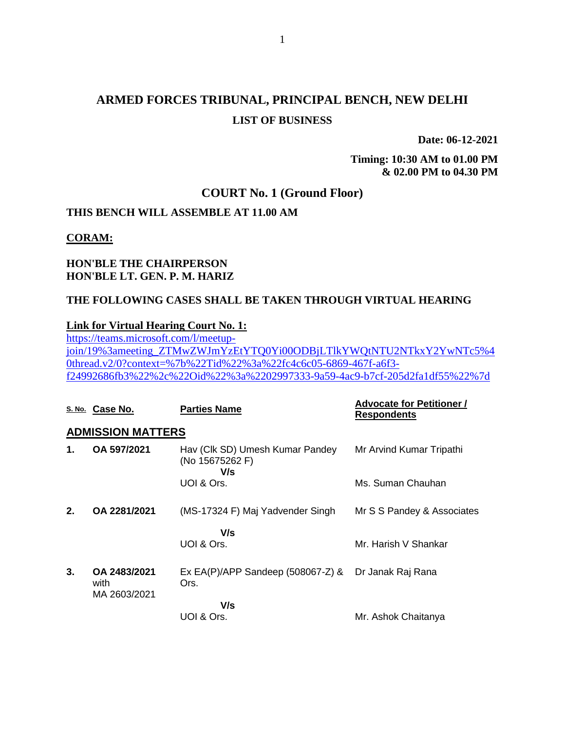# **ARMED FORCES TRIBUNAL, PRINCIPAL BENCH, NEW DELHI LIST OF BUSINESS**

**Date: 06-12-2021**

**Timing: 10:30 AM to 01.00 PM & 02.00 PM to 04.30 PM**

### **COURT No. 1 (Ground Floor)**

### **THIS BENCH WILL ASSEMBLE AT 11.00 AM**

#### **CORAM:**

### **HON'BLE THE CHAIRPERSON HON'BLE LT. GEN. P. M. HARIZ**

### **THE FOLLOWING CASES SHALL BE TAKEN THROUGH VIRTUAL HEARING**

### **Link for Virtual Hearing Court No. 1:**

[https://teams.microsoft.com/l/meetup](https://teams.microsoft.com/l/meetup-join/19%3ameeting_ZTMwZWJmYzEtYTQ0Yi00ODBjLTlkYWQtNTU2NTkxY2YwNTc5%40thread.v2/0?context=%7b%22Tid%22%3a%22fc4c6c05-6869-467f-a6f3-f24992686fb3%22%2c%22Oid%22%3a%2202997333-9a59-4ac9-b7cf-205d2fa1df55%22%7d)[join/19%3ameeting\\_ZTMwZWJmYzEtYTQ0Yi00ODBjLTlkYWQtNTU2NTkxY2YwNTc5%4](https://teams.microsoft.com/l/meetup-join/19%3ameeting_ZTMwZWJmYzEtYTQ0Yi00ODBjLTlkYWQtNTU2NTkxY2YwNTc5%40thread.v2/0?context=%7b%22Tid%22%3a%22fc4c6c05-6869-467f-a6f3-f24992686fb3%22%2c%22Oid%22%3a%2202997333-9a59-4ac9-b7cf-205d2fa1df55%22%7d) [0thread.v2/0?context=%7b%22Tid%22%3a%22fc4c6c05-6869-467f-a6f3](https://teams.microsoft.com/l/meetup-join/19%3ameeting_ZTMwZWJmYzEtYTQ0Yi00ODBjLTlkYWQtNTU2NTkxY2YwNTc5%40thread.v2/0?context=%7b%22Tid%22%3a%22fc4c6c05-6869-467f-a6f3-f24992686fb3%22%2c%22Oid%22%3a%2202997333-9a59-4ac9-b7cf-205d2fa1df55%22%7d) [f24992686fb3%22%2c%22Oid%22%3a%2202997333-9a59-4ac9-b7cf-205d2fa1df55%22%7d](https://teams.microsoft.com/l/meetup-join/19%3ameeting_ZTMwZWJmYzEtYTQ0Yi00ODBjLTlkYWQtNTU2NTkxY2YwNTc5%40thread.v2/0?context=%7b%22Tid%22%3a%22fc4c6c05-6869-467f-a6f3-f24992686fb3%22%2c%22Oid%22%3a%2202997333-9a59-4ac9-b7cf-205d2fa1df55%22%7d)

|    | S. No. Case No.                      | <b>Parties Name</b>                                       | <b>Advocate for Petitioner /</b><br><b>Respondents</b> |
|----|--------------------------------------|-----------------------------------------------------------|--------------------------------------------------------|
|    | <b>ADMISSION MATTERS</b>             |                                                           |                                                        |
| 1. | OA 597/2021                          | Hav (Clk SD) Umesh Kumar Pandey<br>(No 15675262 F)<br>V/s | Mr Arvind Kumar Tripathi                               |
|    |                                      | UOI & Ors.                                                | Ms. Suman Chauhan                                      |
| 2. | OA 2281/2021                         | (MS-17324 F) Maj Yadvender Singh                          | Mr S S Pandey & Associates                             |
|    |                                      | V/s<br>UOI & Ors.                                         | Mr. Harish V Shankar                                   |
| 3. | OA 2483/2021<br>with<br>MA 2603/2021 | Ex EA(P)/APP Sandeep $(508067-Z)$ &<br>Ors.               | Dr Janak Raj Rana                                      |
|    |                                      | V/s<br>UOI & Ors.                                         | Mr. Ashok Chaitanya                                    |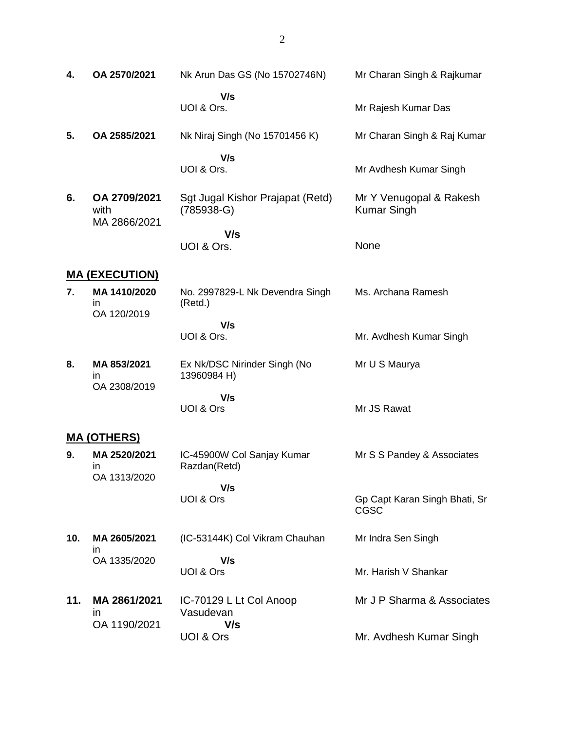| 4.  | OA 2570/2021                       | Nk Arun Das GS (No 15702746N)                    | Mr Charan Singh & Rajkumar                    |
|-----|------------------------------------|--------------------------------------------------|-----------------------------------------------|
|     |                                    | V/s<br>UOI & Ors.                                | Mr Rajesh Kumar Das                           |
| 5.  | OA 2585/2021                       | Nk Niraj Singh (No 15701456 K)                   | Mr Charan Singh & Raj Kumar                   |
|     |                                    | V/s<br>UOI & Ors.                                | Mr Avdhesh Kumar Singh                        |
| 6.  | OA 2709/2021<br>with               | Sgt Jugal Kishor Prajapat (Retd)<br>$(785938-G)$ | Mr Y Venugopal & Rakesh<br><b>Kumar Singh</b> |
|     | MA 2866/2021                       | V/s<br>UOI & Ors.                                | None                                          |
|     | <u> MA (EXECUTION)</u>             |                                                  |                                               |
| 7.  | MA 1410/2020<br>ın<br>OA 120/2019  | No. 2997829-L Nk Devendra Singh<br>(Retd.)       | Ms. Archana Ramesh                            |
|     |                                    | V/s<br>UOI & Ors.                                | Mr. Avdhesh Kumar Singh                       |
| 8.  | MA 853/2021<br>in                  | Ex Nk/DSC Nirinder Singh (No<br>13960984 H)      | Mr U S Maurya                                 |
|     | OA 2308/2019                       | V/s<br>UOI & Ors                                 | Mr JS Rawat                                   |
|     | <b>MA (OTHERS)</b>                 |                                                  |                                               |
| 9.  | MA 2520/2021<br>ın<br>OA 1313/2020 | IC-45900W Col Sanjay Kumar<br>Razdan(Retd)       | Mr S S Pandey & Associates                    |
|     |                                    | V/s<br>UOI & Ors                                 | Gp Capt Karan Singh Bhati, Sr<br><b>CGSC</b>  |
| 10. | MA 2605/2021                       | (IC-53144K) Col Vikram Chauhan                   | Mr Indra Sen Singh                            |
|     | ın<br>OA 1335/2020                 | V/s<br>UOI & Ors                                 | Mr. Harish V Shankar                          |

**11. MA 2861/2021** in OA 1190/2021 IC-70129 L Lt Col Anoop Vasudevan  **V/s** UOI & Ors Mr J P Sharma & Associates Mr. Avdhesh Kumar Singh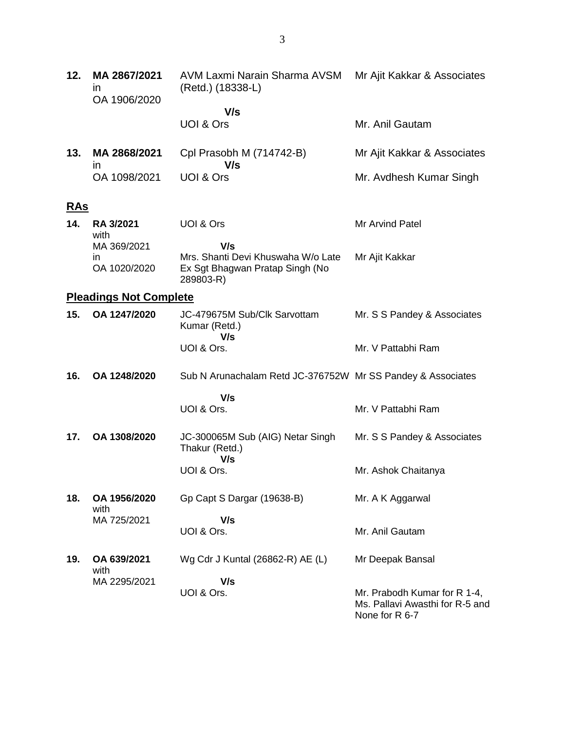| 12. | MA 2867/2021<br>in<br>OA 1906/2020 | AVM Laxmi Narain Sharma AVSM<br>(Retd.) (18338-L)                                  | Mr Ajit Kakkar & Associates                                                       |
|-----|------------------------------------|------------------------------------------------------------------------------------|-----------------------------------------------------------------------------------|
|     |                                    | V/s                                                                                |                                                                                   |
|     |                                    | UOI & Ors                                                                          | Mr. Anil Gautam                                                                   |
| 13. | MA 2868/2021<br>$\mathsf{I}$       | Cpl Prasobh M (714742-B)<br>V/s                                                    | Mr Ajit Kakkar & Associates                                                       |
|     | OA 1098/2021                       | UOI & Ors                                                                          | Mr. Avdhesh Kumar Singh                                                           |
| RAs |                                    |                                                                                    |                                                                                   |
| 14. | RA 3/2021<br>with                  | UOI & Ors                                                                          | Mr Arvind Patel                                                                   |
|     | MA 369/2021                        | V/s                                                                                |                                                                                   |
|     | in<br>OA 1020/2020                 | Mrs. Shanti Devi Khuswaha W/o Late<br>Ex Sgt Bhagwan Pratap Singh (No<br>289803-R) | Mr Ajit Kakkar                                                                    |
|     | <b>Pleadings Not Complete</b>      |                                                                                    |                                                                                   |
| 15. | OA 1247/2020                       | JC-479675M Sub/Clk Sarvottam<br>Kumar (Retd.)<br>V/s                               | Mr. S S Pandey & Associates                                                       |
|     |                                    | UOI & Ors.                                                                         | Mr. V Pattabhi Ram                                                                |
| 16. | OA 1248/2020                       | Sub N Arunachalam Retd JC-376752W Mr SS Pandey & Associates                        |                                                                                   |
|     |                                    | V/s                                                                                |                                                                                   |
|     |                                    | UOI & Ors.                                                                         | Mr. V Pattabhi Ram                                                                |
| 17. | OA 1308/2020                       | JC-300065M Sub (AIG) Netar Singh<br>Thakur (Retd.)<br>V/s                          | Mr. S S Pandey & Associates                                                       |
|     |                                    | UOI & Ors.                                                                         | Mr. Ashok Chaitanya                                                               |
| 18. | OA 1956/2020<br>with               | Gp Capt S Dargar (19638-B)                                                         | Mr. A K Aggarwal                                                                  |
|     | MA 725/2021                        | V/s<br>UOI & Ors.                                                                  | Mr. Anil Gautam                                                                   |
| 19. | OA 639/2021<br>with                | Wg Cdr J Kuntal (26862-R) AE (L)                                                   | Mr Deepak Bansal                                                                  |
|     | MA 2295/2021                       | V/s                                                                                |                                                                                   |
|     |                                    | UOI & Ors.                                                                         | Mr. Prabodh Kumar for R 1-4,<br>Ms. Pallavi Awasthi for R-5 and<br>None for R 6-7 |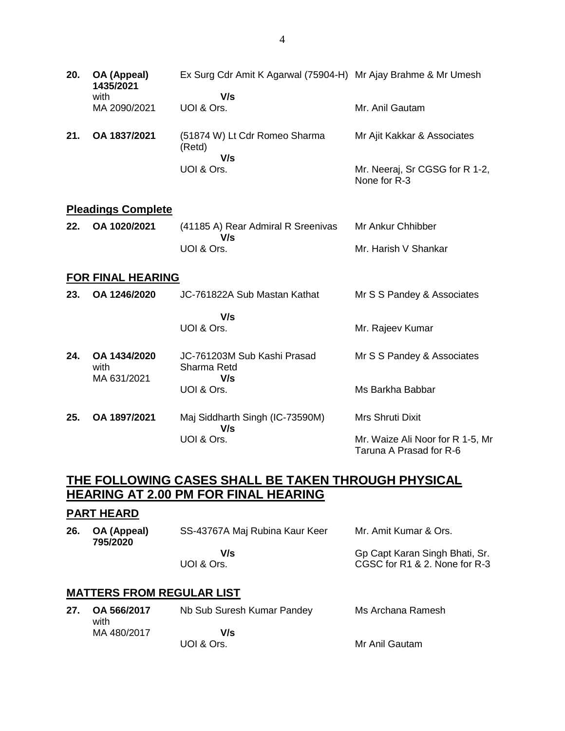| 20. | OA (Appeal)<br>1435/2021<br>with    | Ex Surg Cdr Amit K Agarwal (75904-H) Mr Ajay Brahme & Mr Umesh<br>V/s |                                                             |
|-----|-------------------------------------|-----------------------------------------------------------------------|-------------------------------------------------------------|
|     | MA 2090/2021                        | UOI & Ors.                                                            | Mr. Anil Gautam                                             |
| 21. | OA 1837/2021                        | (51874 W) Lt Cdr Romeo Sharma<br>(Retd)<br>V/s                        | Mr Ajit Kakkar & Associates                                 |
|     |                                     | UOI & Ors.                                                            | Mr. Neeraj, Sr CGSG for R 1-2,<br>None for R-3              |
|     | <b>Pleadings Complete</b>           |                                                                       |                                                             |
| 22. | OA 1020/2021                        | (41185 A) Rear Admiral R Sreenivas<br>V/s                             | Mr Ankur Chhibber                                           |
|     |                                     | UOI & Ors.                                                            | Mr. Harish V Shankar                                        |
|     | <b>FOR FINAL HEARING</b>            |                                                                       |                                                             |
| 23. | OA 1246/2020                        | JC-761822A Sub Mastan Kathat                                          | Mr S S Pandey & Associates                                  |
|     |                                     | V/s<br>UOI & Ors.                                                     | Mr. Rajeev Kumar                                            |
| 24. | OA 1434/2020<br>with<br>MA 631/2021 | JC-761203M Sub Kashi Prasad<br>Sharma Retd<br>V/s                     | Mr S S Pandey & Associates                                  |
|     |                                     | UOI & Ors.                                                            | Ms Barkha Babbar                                            |
| 25. | OA 1897/2021                        | Maj Siddharth Singh (IC-73590M)<br>V/s                                | Mrs Shruti Dixit                                            |
|     |                                     | UOI & Ors.                                                            | Mr. Waize Ali Noor for R 1-5, Mr<br>Taruna A Prasad for R-6 |

# **THE FOLLOWING CASES SHALL BE TAKEN THROUGH PHYSICAL HEARING AT 2.00 PM FOR FINAL HEARING**

## **PART HEARD**

| 26. OA (Appeal)<br>795/2020 | SS-43767A Maj Rubina Kaur Keer | Mr. Amit Kumar & Ors.          |
|-----------------------------|--------------------------------|--------------------------------|
|                             | V/s                            | Gp Capt Karan Singh Bhati, Sr. |
|                             | UOI & Ors.                     | CGSC for R1 & 2. None for R-3  |

# **MATTERS FROM REGULAR LIST**

|  | 27. OA 566/2017<br>with | Nb Sub Suresh Kumar Pandey | Ms Archana Ramesh |
|--|-------------------------|----------------------------|-------------------|
|  | MA 480/2017             | V/s                        |                   |
|  |                         | UOI & Ors.                 | Mr Anil Gautam    |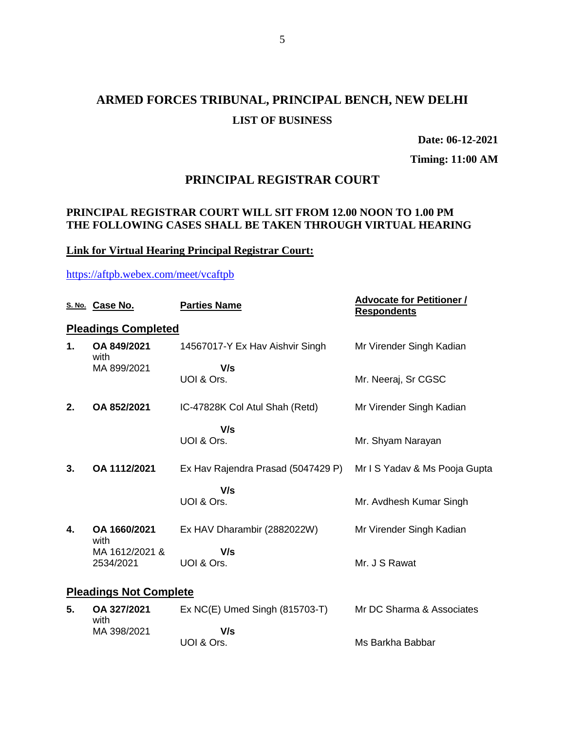# **ARMED FORCES TRIBUNAL, PRINCIPAL BENCH, NEW DELHI LIST OF BUSINESS**

**Date: 06-12-2021**

**Timing: 11:00 AM**

## **PRINCIPAL REGISTRAR COURT**

### **PRINCIPAL REGISTRAR COURT WILL SIT FROM 12.00 NOON TO 1.00 PM THE FOLLOWING CASES SHALL BE TAKEN THROUGH VIRTUAL HEARING**

## **Link for Virtual Hearing Principal Registrar Court:**

<https://aftpb.webex.com/meet/vcaftpb>

|    | S. No. Case No.               | <b>Parties Name</b>                | <b>Advocate for Petitioner /</b><br><b>Respondents</b> |
|----|-------------------------------|------------------------------------|--------------------------------------------------------|
|    | <b>Pleadings Completed</b>    |                                    |                                                        |
| 1. | OA 849/2021<br>with           | 14567017-Y Ex Hav Aishvir Singh    | Mr Virender Singh Kadian                               |
|    | MA 899/2021                   | V/s                                |                                                        |
|    |                               | UOI & Ors.                         | Mr. Neeraj, Sr CGSC                                    |
| 2. | OA 852/2021                   | IC-47828K Col Atul Shah (Retd)     | Mr Virender Singh Kadian                               |
|    |                               | V/s                                |                                                        |
|    |                               | UOI & Ors.                         | Mr. Shyam Narayan                                      |
| 3. | OA 1112/2021                  | Ex Hav Rajendra Prasad (5047429 P) | Mr I S Yadav & Ms Pooja Gupta                          |
|    |                               | V/s                                |                                                        |
|    |                               | UOI & Ors.                         | Mr. Avdhesh Kumar Singh                                |
| 4. | OA 1660/2021<br>with          | Ex HAV Dharambir (2882022W)        | Mr Virender Singh Kadian                               |
|    | MA 1612/2021 &                | V/s                                |                                                        |
|    | 2534/2021                     | UOI & Ors.                         | Mr. J S Rawat                                          |
|    | <b>Pleadings Not Complete</b> |                                    |                                                        |
| 5. | OA 327/2021<br>with           | $Ex NC(E)$ Umed Singh (815703-T)   | Mr DC Sharma & Associates                              |
|    | MA 398/2021                   | V/s                                |                                                        |
|    |                               | UOI & Ors.                         | Ms Barkha Babbar                                       |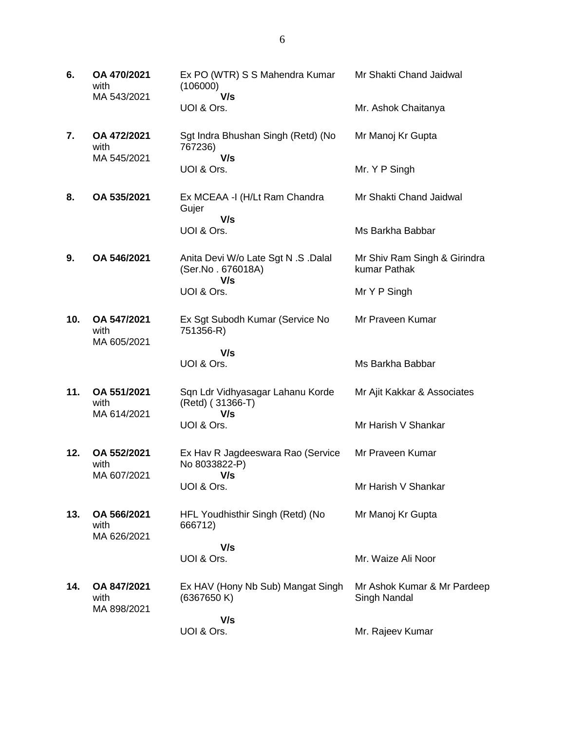| 6.  | OA 470/2021<br>with<br>MA 543/2021 | Ex PO (WTR) S S Mahendra Kumar<br>(106000)<br>V/s               | Mr Shakti Chand Jaidwal                      |
|-----|------------------------------------|-----------------------------------------------------------------|----------------------------------------------|
|     |                                    | UOI & Ors.                                                      | Mr. Ashok Chaitanya                          |
| 7.  | OA 472/2021<br>with<br>MA 545/2021 | Sgt Indra Bhushan Singh (Retd) (No<br>767236)<br>V/s            | Mr Manoj Kr Gupta                            |
|     |                                    | UOI & Ors.                                                      | Mr. Y P Singh                                |
| 8.  | OA 535/2021                        | Ex MCEAA - I (H/Lt Ram Chandra<br>Gujer<br>V/s                  | Mr Shakti Chand Jaidwal                      |
|     |                                    | UOI & Ors.                                                      | Ms Barkha Babbar                             |
| 9.  | OA 546/2021                        | Anita Devi W/o Late Sgt N .S .Dalal<br>(Ser.No. 676018A)<br>V/s | Mr Shiv Ram Singh & Girindra<br>kumar Pathak |
|     |                                    | UOI & Ors.                                                      | Mr Y P Singh                                 |
| 10. | OA 547/2021<br>with<br>MA 605/2021 | Ex Sgt Subodh Kumar (Service No<br>751356-R)                    | Mr Praveen Kumar                             |
|     |                                    | V/s                                                             |                                              |
|     |                                    | UOI & Ors.                                                      | Ms Barkha Babbar                             |
| 11. | OA 551/2021<br>with<br>MA 614/2021 | Sqn Ldr Vidhyasagar Lahanu Korde<br>(Retd) (31366-T)<br>V/s     | Mr Ajit Kakkar & Associates                  |
|     |                                    | UOI & Ors.                                                      | Mr Harish V Shankar                          |
| 12. | OA 552/2021<br>with<br>MA 607/2021 | Ex Hav R Jagdeeswara Rao (Service<br>No 8033822-P)<br>V/s       | Mr Praveen Kumar                             |
|     |                                    | UOI & Ors.                                                      | Mr Harish V Shankar                          |
| 13. | OA 566/2021<br>with<br>MA 626/2021 | HFL Youdhisthir Singh (Retd) (No<br>666712)                     | Mr Manoj Kr Gupta                            |
|     |                                    | V/s<br>UOI & Ors.                                               | Mr. Waize Ali Noor                           |
| 14. | OA 847/2021<br>with<br>MA 898/2021 | Ex HAV (Hony Nb Sub) Mangat Singh<br>(6367650K)                 | Mr Ashok Kumar & Mr Pardeep<br>Singh Nandal  |
|     |                                    | V/s<br>UOI & Ors.                                               | Mr. Rajeev Kumar                             |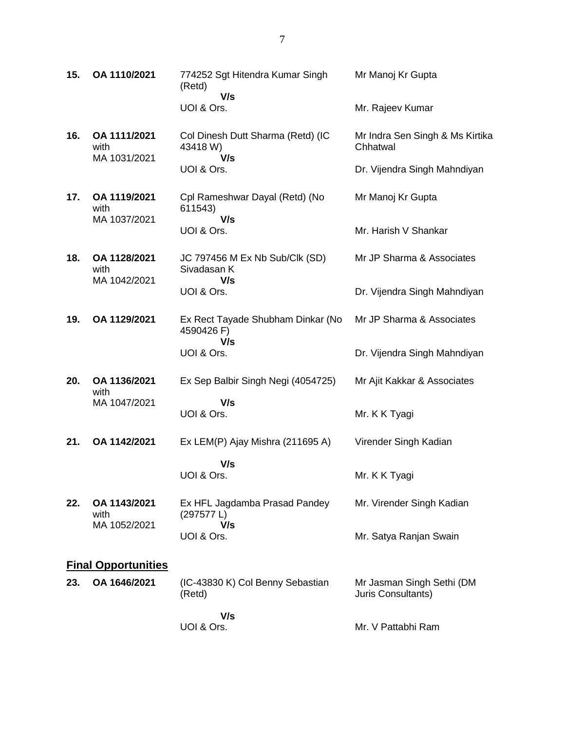| 15. | OA 1110/2021                         | 774252 Sgt Hitendra Kumar Singh<br>(Retd)<br>V/s       | Mr Manoj Kr Gupta                               |
|-----|--------------------------------------|--------------------------------------------------------|-------------------------------------------------|
|     |                                      | UOI & Ors.                                             | Mr. Rajeev Kumar                                |
| 16. | OA 1111/2021<br>with<br>MA 1031/2021 | Col Dinesh Dutt Sharma (Retd) (IC<br>43418 W)<br>V/s   | Mr Indra Sen Singh & Ms Kirtika<br>Chhatwal     |
|     |                                      | UOI & Ors.                                             | Dr. Vijendra Singh Mahndiyan                    |
| 17. | OA 1119/2021<br>with<br>MA 1037/2021 | Cpl Rameshwar Dayal (Retd) (No<br>611543)<br>V/s       | Mr Manoj Kr Gupta                               |
|     |                                      | UOI & Ors.                                             | Mr. Harish V Shankar                            |
| 18. | OA 1128/2021<br>with<br>MA 1042/2021 | JC 797456 M Ex Nb Sub/Clk (SD)<br>Sivadasan K<br>V/s   | Mr JP Sharma & Associates                       |
|     |                                      | UOI & Ors.                                             | Dr. Vijendra Singh Mahndiyan                    |
| 19. | OA 1129/2021                         | Ex Rect Tayade Shubham Dinkar (No<br>4590426 F)<br>V/s | Mr JP Sharma & Associates                       |
|     |                                      | UOI & Ors.                                             | Dr. Vijendra Singh Mahndiyan                    |
| 20. | OA 1136/2021<br>with                 | Ex Sep Balbir Singh Negi (4054725)                     | Mr Ajit Kakkar & Associates                     |
|     | MA 1047/2021                         | V/s<br>UOI & Ors.                                      | Mr. K K Tyagi                                   |
| 21. | OA 1142/2021                         | Ex LEM(P) Ajay Mishra (211695 A)                       | Virender Singh Kadian                           |
|     |                                      | V/s<br>UOI & Ors.                                      | Mr. K K Tyagi                                   |
| 22. | OA 1143/2021<br>with<br>MA 1052/2021 | Ex HFL Jagdamba Prasad Pandey<br>(297577 L)<br>V/s     | Mr. Virender Singh Kadian                       |
|     |                                      | UOI & Ors.                                             | Mr. Satya Ranjan Swain                          |
|     | <b>Final Opportunities</b>           |                                                        |                                                 |
| 23. | OA 1646/2021                         | (IC-43830 K) Col Benny Sebastian<br>(Retd)             | Mr Jasman Singh Sethi (DM<br>Juris Consultants) |
|     |                                      | 111.                                                   |                                                 |

 **V/s** UOI & Ors.

Mr. V Pattabhi Ram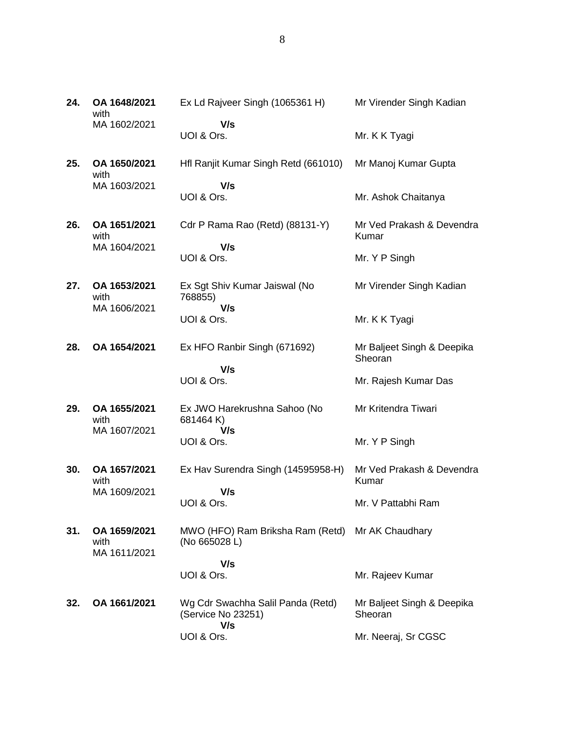| 24. | OA 1648/2021<br>with                 | Ex Ld Rajveer Singh (1065361 H)                                   | Mr Virender Singh Kadian              |
|-----|--------------------------------------|-------------------------------------------------------------------|---------------------------------------|
|     | MA 1602/2021                         | V/s<br>UOI & Ors.                                                 | Mr. K K Tyagi                         |
| 25. | OA 1650/2021<br>with                 | Hfl Ranjit Kumar Singh Retd (661010)                              | Mr Manoj Kumar Gupta                  |
|     | MA 1603/2021                         | V/s<br>UOI & Ors.                                                 | Mr. Ashok Chaitanya                   |
| 26. | OA 1651/2021<br>with                 | Cdr P Rama Rao (Retd) (88131-Y)                                   | Mr Ved Prakash & Devendra<br>Kumar    |
|     | MA 1604/2021                         | V/s<br>UOI & Ors.                                                 | Mr. Y P Singh                         |
| 27. | OA 1653/2021<br>with                 | Ex Sgt Shiv Kumar Jaiswal (No<br>768855)                          | Mr Virender Singh Kadian              |
|     | MA 1606/2021                         | V/s<br>UOI & Ors.                                                 | Mr. K K Tyagi                         |
| 28. | OA 1654/2021                         | Ex HFO Ranbir Singh (671692)                                      | Mr Baljeet Singh & Deepika<br>Sheoran |
|     |                                      | V/s<br>UOI & Ors.                                                 | Mr. Rajesh Kumar Das                  |
| 29. | OA 1655/2021<br>with                 | Ex JWO Harekrushna Sahoo (No<br>681464K)                          | Mr Kritendra Tiwari                   |
|     | MA 1607/2021                         | V/s<br>UOI & Ors.                                                 | Mr. Y P Singh                         |
| 30. | OA 1657/2021<br>with                 | Ex Hav Surendra Singh (14595958-H)                                | Mr Ved Prakash & Devendra<br>Kumar    |
|     | MA 1609/2021                         | V/s<br>UOI & Ors.                                                 | Mr. V Pattabhi Ram                    |
| 31. | OA 1659/2021<br>with<br>MA 1611/2021 | MWO (HFO) Ram Briksha Ram (Retd) Mr AK Chaudhary<br>(No 665028 L) |                                       |
|     |                                      | V/s<br>UOI & Ors.                                                 | Mr. Rajeev Kumar                      |
|     |                                      |                                                                   |                                       |
| 32. | OA 1661/2021                         | Wg Cdr Swachha Salil Panda (Retd)<br>(Service No 23251)<br>V/s    | Mr Baljeet Singh & Deepika<br>Sheoran |
|     |                                      | UOI & Ors.                                                        | Mr. Neeraj, Sr CGSC                   |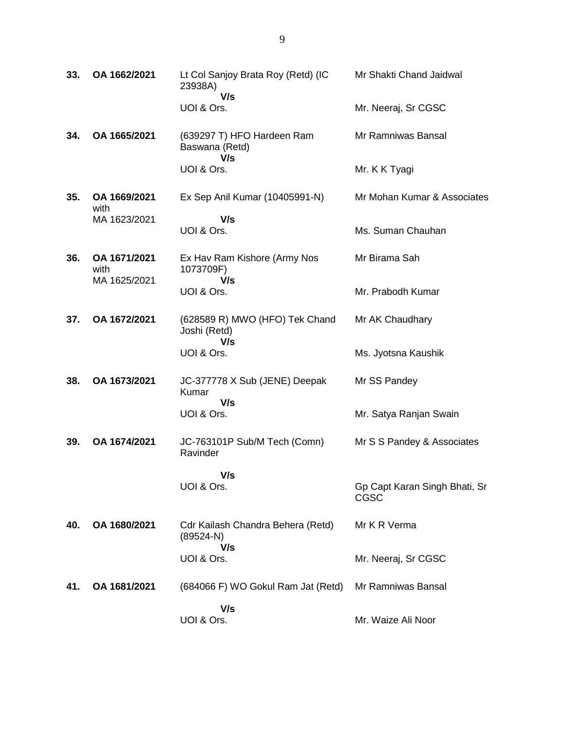| 33. | OA 1662/2021         | Lt Col Sanjoy Brata Roy (Retd) (IC<br>23938A)<br>V/s    | Mr Shakti Chand Jaidwal               |
|-----|----------------------|---------------------------------------------------------|---------------------------------------|
|     |                      | UOI & Ors.                                              | Mr. Neeraj, Sr CGSC                   |
| 34. | OA 1665/2021         | (639297 T) HFO Hardeen Ram<br>Baswana (Retd)<br>V/s     | Mr Ramniwas Bansal                    |
|     |                      | UOI & Ors.                                              | Mr. K K Tyagi                         |
| 35. | OA 1669/2021<br>with | Ex Sep Anil Kumar (10405991-N)                          | Mr Mohan Kumar & Associates           |
|     | MA 1623/2021         | V/s<br>UOI & Ors.                                       | Ms. Suman Chauhan                     |
| 36. | OA 1671/2021<br>with | Ex Hav Ram Kishore (Army Nos<br>1073709F)               | Mr Birama Sah                         |
|     | MA 1625/2021         | V/s<br>UOI & Ors.                                       | Mr. Prabodh Kumar                     |
| 37. | OA 1672/2021         | (628589 R) MWO (HFO) Tek Chand<br>Joshi (Retd)<br>V/s   | Mr AK Chaudhary                       |
|     |                      | UOI & Ors.                                              | Ms. Jyotsna Kaushik                   |
| 38. | OA 1673/2021         | JC-377778 X Sub (JENE) Deepak<br>Kumar                  | Mr SS Pandey                          |
|     |                      | V/s<br>UOI & Ors.                                       | Mr. Satya Ranjan Swain                |
| 39. | OA 1674/2021         | JC-763101P Sub/M Tech (Comn)<br>Ravinder                | Mr S S Pandey & Associates            |
|     |                      | V/s                                                     |                                       |
|     |                      | UOI & Ors.                                              | Gp Capt Karan Singh Bhati, Sr<br>CGSC |
| 40. | OA 1680/2021         | Cdr Kailash Chandra Behera (Retd)<br>$(89524-N)$<br>V/s | Mr K R Verma                          |
|     |                      | UOI & Ors.                                              | Mr. Neeraj, Sr CGSC                   |
| 41. | OA 1681/2021         | (684066 F) WO Gokul Ram Jat (Retd)                      | Mr Ramniwas Bansal                    |
|     |                      | V/s<br>UOI & Ors.                                       | Mr. Waize Ali Noor                    |
|     |                      |                                                         |                                       |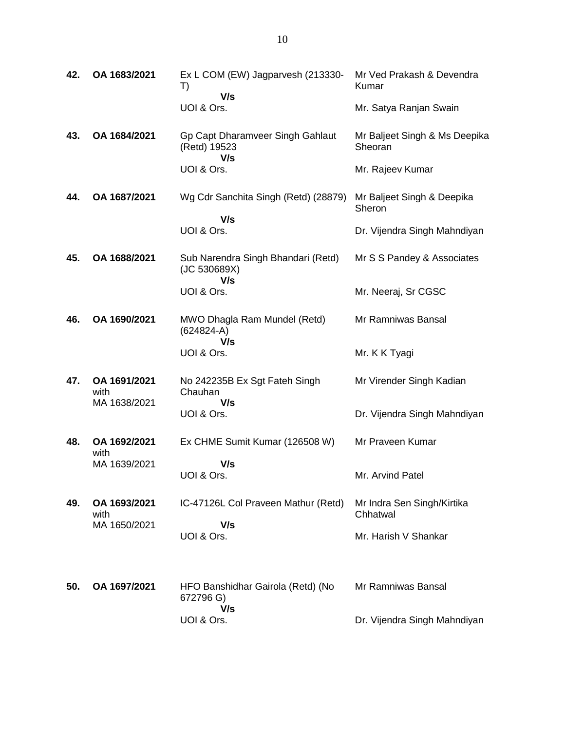| 42. | OA 1683/2021                         | Ex L COM (EW) Jagparvesh (213330-<br>T)<br>V/s            | Mr Ved Prakash & Devendra<br>Kumar       |
|-----|--------------------------------------|-----------------------------------------------------------|------------------------------------------|
|     |                                      | UOI & Ors.                                                | Mr. Satya Ranjan Swain                   |
| 43. | OA 1684/2021                         | Gp Capt Dharamveer Singh Gahlaut<br>(Retd) 19523<br>V/s   | Mr Baljeet Singh & Ms Deepika<br>Sheoran |
|     |                                      | UOI & Ors.                                                | Mr. Rajeev Kumar                         |
| 44. | OA 1687/2021                         | Wg Cdr Sanchita Singh (Retd) (28879)<br>V/s               | Mr Baljeet Singh & Deepika<br>Sheron     |
|     |                                      | UOI & Ors.                                                | Dr. Vijendra Singh Mahndiyan             |
| 45. | OA 1688/2021                         | Sub Narendra Singh Bhandari (Retd)<br>(JC 530689X)<br>V/s | Mr S S Pandey & Associates               |
|     |                                      | UOI & Ors.                                                | Mr. Neeraj, Sr CGSC                      |
| 46. | OA 1690/2021                         | MWO Dhagla Ram Mundel (Retd)<br>$(624824-A)$<br>V/s       | Mr Ramniwas Bansal                       |
|     |                                      | UOI & Ors.                                                | Mr. K K Tyagi                            |
| 47. | OA 1691/2021<br>with                 | No 242235B Ex Sgt Fateh Singh<br>Chauhan                  | Mr Virender Singh Kadian                 |
|     | MA 1638/2021                         | V/s<br>UOI & Ors.                                         | Dr. Vijendra Singh Mahndiyan             |
| 48. | OA 1692/2021<br>with                 | Ex CHME Sumit Kumar (126508 W)                            | Mr Praveen Kumar                         |
|     | MA 1639/2021                         | V/s<br>UOI & Ors.                                         | Mr. Arvind Patel                         |
| 49. | OA 1693/2021<br>with<br>MA 1650/2021 | IC-47126L Col Praveen Mathur (Retd)<br>V/s                | Mr Indra Sen Singh/Kirtika<br>Chhatwal   |
|     |                                      | UOI & Ors.                                                | Mr. Harish V Shankar                     |
| 50. | OA 1697/2021                         | HFO Banshidhar Gairola (Retd) (No<br>672796 G)<br>V/s     | Mr Ramniwas Bansal                       |
|     |                                      | UOI & Ors.                                                | Dr. Vijendra Singh Mahndiyan             |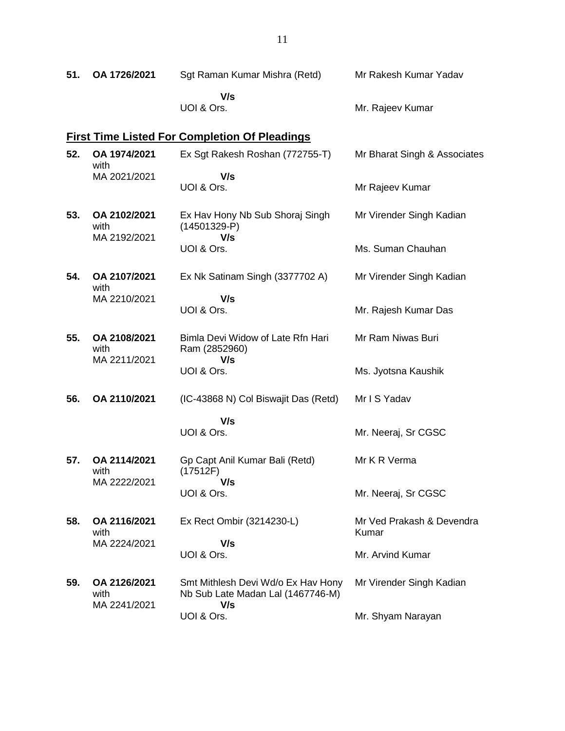| 51. | OA 1726/2021                                         | Sgt Raman Kumar Mishra (Retd)                                           | Mr Rakesh Kumar Yadav              |  |  |  |
|-----|------------------------------------------------------|-------------------------------------------------------------------------|------------------------------------|--|--|--|
|     |                                                      | V/s<br>UOI & Ors.                                                       | Mr. Rajeev Kumar                   |  |  |  |
|     | <b>First Time Listed For Completion Of Pleadings</b> |                                                                         |                                    |  |  |  |
| 52. | OA 1974/2021<br>with                                 | Ex Sgt Rakesh Roshan (772755-T)                                         | Mr Bharat Singh & Associates       |  |  |  |
|     | MA 2021/2021                                         | V/s<br>UOI & Ors.                                                       | Mr Rajeev Kumar                    |  |  |  |
| 53. | OA 2102/2021<br>with<br>MA 2192/2021                 | Ex Hav Hony Nb Sub Shoraj Singh<br>$(14501329-P)$<br>V/s                | Mr Virender Singh Kadian           |  |  |  |
|     |                                                      | UOI & Ors.                                                              | Ms. Suman Chauhan                  |  |  |  |
| 54. | OA 2107/2021<br>with                                 | Ex Nk Satinam Singh (3377702 A)                                         | Mr Virender Singh Kadian           |  |  |  |
|     | MA 2210/2021                                         | V/s<br>UOI & Ors.                                                       | Mr. Rajesh Kumar Das               |  |  |  |
| 55. | OA 2108/2021<br>with<br>MA 2211/2021                 | Bimla Devi Widow of Late Rfn Hari<br>Ram (2852960)                      | Mr Ram Niwas Buri                  |  |  |  |
|     |                                                      | V/s<br>UOI & Ors.                                                       | Ms. Jyotsna Kaushik                |  |  |  |
| 56. | OA 2110/2021                                         | (IC-43868 N) Col Biswajit Das (Retd)                                    | Mr I S Yadav                       |  |  |  |
|     |                                                      | V/s<br>UOI & Ors.                                                       | Mr. Neeraj, Sr CGSC                |  |  |  |
| 57. | OA 2114/2021<br>with<br>MA 2222/2021                 | Gp Capt Anil Kumar Bali (Retd)<br>(17512F)                              | Mr K R Verma                       |  |  |  |
|     |                                                      | V/s<br>UOI & Ors.                                                       | Mr. Neeraj, Sr CGSC                |  |  |  |
| 58. | OA 2116/2021<br>with<br>MA 2224/2021                 | Ex Rect Ombir (3214230-L)                                               | Mr Ved Prakash & Devendra<br>Kumar |  |  |  |
|     |                                                      | V/s<br>UOI & Ors.                                                       | Mr. Arvind Kumar                   |  |  |  |
| 59. | OA 2126/2021<br>with<br>MA 2241/2021                 | Smt Mithlesh Devi Wd/o Ex Hav Hony<br>Nb Sub Late Madan Lal (1467746-M) | Mr Virender Singh Kadian           |  |  |  |
|     |                                                      | V/s<br>UOI & Ors.                                                       | Mr. Shyam Narayan                  |  |  |  |